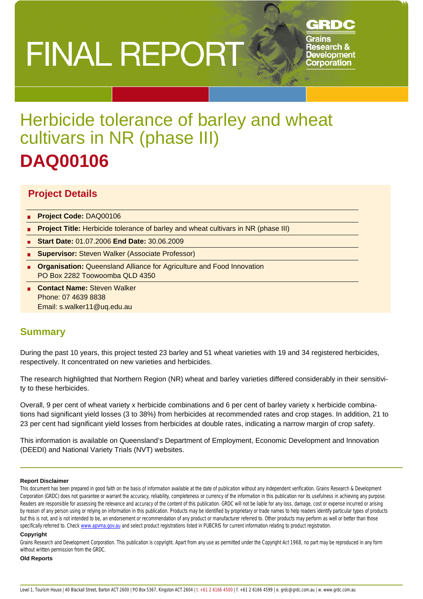# **FINAL REPORT**

## GRDC

Grains **Research & Development Corporation** 

# Herbicide tolerance of barley and wheat cultivars in NR (phase III) **DAQ00106**

## **Project Details**

- **Project Code:** DAQ00106
- **Project Title:** Herbicide tolerance of barley and wheat cultivars in NR (phase III)
- **Start Date:** 01.07.2006 **End Date:** 30.06.2009
- **Supervisor:** Steven Walker (Associate Professor)
- **Organisation:** Queensland Alliance for Agriculture and Food Innovation PO Box 2282 Toowoomba QLD 4350
- **Contact Name:** Steven Walker Phone: 07 4639 8838 Email: s.walker11@uq.edu.au

## **Summary**

During the past 10 years, this project tested 23 barley and 51 wheat varieties with 19 and 34 registered herbicides, respectively. It concentrated on new varieties and herbicides.

The research highlighted that Northern Region (NR) wheat and barley varieties differed considerably in their sensitivity to these herbicides.

Overall, 9 per cent of wheat variety x herbicide combinations and 6 per cent of barley variety x herbicide combinations had significant yield losses (3 to 38%) from herbicides at recommended rates and crop stages. In addition, 21 to 23 per cent had significant yield losses from herbicides at double rates, indicating a narrow margin of crop safety.

This information is available on Queensland's Department of Employment, Economic Development and Innovation (DEEDI) and National Variety Trials (NVT) websites.

#### **Report Disclaimer**

This document has been prepared in good faith on the basis of information available at the date of publication without any independent verification. Grains Research & Development Corporation (GRDC) does not guarantee or warrant the accuracy, reliability, completeness or currency of the information in this publication nor its usefulness in achieving any purpose. Readers are responsible for assessing the relevance and accuracy of the content of this publication. GRDC will not be liable for any loss, damage, cost or expense incurred or arising by reason of any person using or relying on information in this publication. Products may be identified by proprietary or trade names to help readers identify particular types of products but this is not, and is not intended to be, an endorsement or recommendation of any product or manufacturer referred to. Other products may perform as well or better than those specifically referred to. Check www.apvma.gov.au and select product registrations listed in PUBCRIS for current information relating to product registration.

#### **Copyright**

Grains Research and Development Corporation. This publication is copyright. Apart from any use as permitted under the Copyright Act 1968, no part may be reproduced in any form without written permission from the GRDC.

#### **Old Reports**

Level 1, Tourism House | 40 Blackall Street, Barton ACT 2600 | PO Box 5367, Kingston ACT 2604 | t. +61 2 6166 4500 | f. +61 2 6166 4599 | e. grdc@grdc.com.au | w. www.grdc.com.au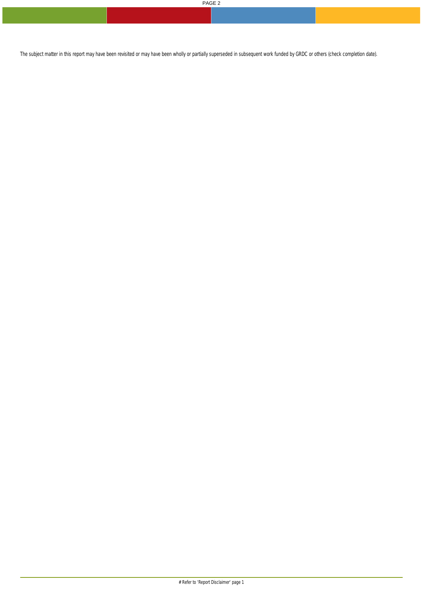The subject matter in this report may have been revisited or may have been wholly or partially superseded in subsequent work funded by GRDC or others (check completion date).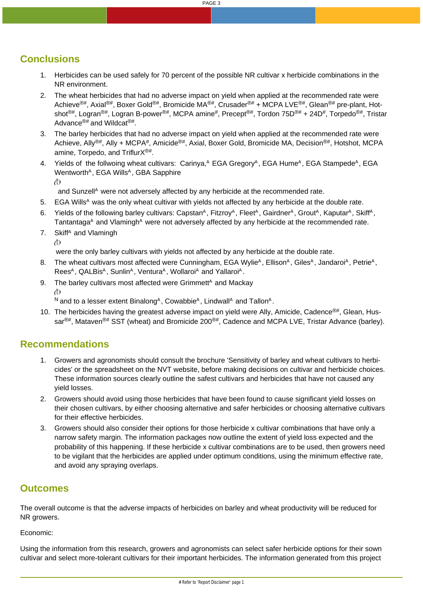PAGE 3

## **Conclusions**

- 1. Herbicides can be used safely for 70 percent of the possible NR cultivar x herbicide combinations in the NR environment.
- 2. The wheat herbicides that had no adverse impact on yield when applied at the recommended rate were Achieve<sup>®#</sup>, Axial<sup>®#</sup>, Boxer Gold<sup>®#</sup>, Bromicide MA<sup>®#</sup>, Crusader<sup>®#</sup> + MCPA LVE<sup>®#</sup>, Glean<sup>®#</sup> pre-plant, Hotshot<sup>®#</sup>, Logran<sup>®#</sup>, Logran B-power<sup>®#</sup>, MCPA amine<sup>#</sup>, Precept<sup>®#</sup>, Tordon 75D<sup>®#</sup> + 24D<sup>#</sup>, Torpedo<sup>®#</sup>, Tristar Advance®# and Wildcat®#.
- 3. The barley herbicides that had no adverse impact on yield when applied at the recommended rate were Achieve, Ally®#, Ally + MCPA#, Amicide®#, Axial, Boxer Gold, Bromicide MA, Decision<sup>®#</sup>, Hotshot, MCPA amine, Torpedo, and TriflurX<sup>®#</sup>.
- 4. Yields of the follwoing wheat cultivars: Carinya, A EGA GregoryA, EGA HumeA, EGA StampedeA, EGA Wentworth<sup>A</sup>, EGA Wills<sup>A</sup>, GBA Sapphire Φ

and Sunzell<sup>A</sup> were not adversely affected by any herbicide at the recommended rate.

- 5. EGA Wills<sup>A</sup> was the only wheat cultivar with yields not affected by any herbicide at the double rate.
- 6. Yields of the following barley cultivars: Capstan<sup>A</sup>, Fitzroy<sup>A</sup>, Fleet<sup>A</sup>, Gairdner<sup>A</sup>, Grout<sup>A</sup>, Kaputar<sup>A</sup>, Skiff<sup>A</sup>, Tantantaga $\wedge$  and Vlamingh $\wedge$  were not adversely affected by any herbicide at the recommended rate.
- 7. Skiff<sup>A</sup> and Vlamingh

Φ

were the only barley cultivars with yields not affected by any herbicide at the double rate.

- 8. The wheat cultivars most affected were Cunningham, EGA Wylie<sup>A</sup>, Ellison<sup>A</sup>, Giles<sup>A</sup>, Jandaroi<sup>A</sup>, Petrie<sup>A</sup>, Rees<sup>A</sup>, QALBis<sup>A</sup>, Sunlin<sup>A</sup>, Ventura<sup>A</sup>, Wollaroi<sup>A</sup> and Yallaroi<sup>A</sup>.
- 9. The barley cultivars most affected were Grimmett<sup>A</sup> and Mackay Φ

 $N$  and to a lesser extent Binalong<sup>A</sup>, Cowabbie<sup>A</sup>, Lindwall<sup>A</sup> and Tallon<sup>A</sup>.

10. The herbicides having the greatest adverse impact on yield were Ally, Amicide, Cadence<sup>®#</sup>, Glean, Hussar $^{\circledR#}$ , Mataven $^{\circledR#}$  SST (wheat) and Bromicide 200 $^{\circledR#}$ , Cadence and MCPA LVE, Tristar Advance (barley).

### **Recommendations**

- 1. Growers and agronomists should consult the brochure 'Sensitivity of barley and wheat cultivars to herbicides' or the spreadsheet on the NVT website, before making decisions on cultivar and herbicide choices. These information sources clearly outline the safest cultivars and herbicides that have not caused any yield losses.
- 2. Growers should avoid using those herbicides that have been found to cause significant yield losses on their chosen cultivars, by either choosing alternative and safer herbicides or choosing alternative cultivars for their effective herbicides.
- 3. Growers should also consider their options for those herbicide x cultivar combinations that have only a narrow safety margin. The information packages now outline the extent of yield loss expected and the probability of this happening. If these herbicide x cultivar combinations are to be used, then growers need to be vigilant that the herbicides are applied under optimum conditions, using the minimum effective rate, and avoid any spraying overlaps.

## **Outcomes**

The overall outcome is that the adverse impacts of herbicides on barley and wheat productivity will be reduced for NR growers.

Economic:

Using the information from this research, growers and agronomists can select safer herbicide options for their sown cultivar and select more-tolerant cultivars for their important herbicides. The information generated from this project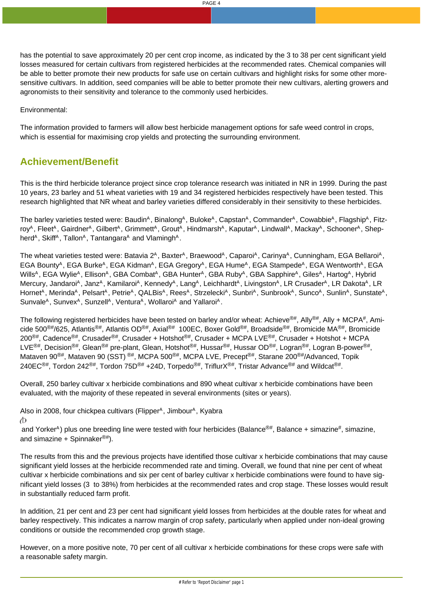Environmental:

The information provided to farmers will allow best herbicide management options for safe weed control in crops, which is essential for maximising crop yields and protecting the surrounding environment.

## **Achievement/Benefit**

This is the third herbicide tolerance project since crop tolerance research was initiated in NR in 1999. During the past 10 years, 23 barley and 51 wheat varieties with 19 and 34 registered herbicides respectively have been tested. This research highlighted that NR wheat and barley varieties differed considerably in their sensitivity to these herbicides.

The barley varieties tested were: Baudin<sup>A</sup>, Binalong<sup>A</sup>, Buloke<sup>A</sup>, Capstan<sup>A</sup>, Commander<sup>A</sup>, Cowabbie<sup>A</sup>, Flagship<sup>A</sup>, Fitzroy<sup>A</sup>, Fleet<sup>A</sup>, Gairdner<sup>A</sup>, Gilbert<sup>A</sup>, Grimmett<sup>A</sup>, Grout<sup>A</sup>, Hindmarsh<sup>A</sup>, Kaputar<sup>A</sup>, Lindwall<sup>A</sup>, Mackay<sup>A</sup>, Schooner<sup>A</sup>, Shepherd<sup>A</sup>, Skiff<sup>A</sup>, Tallon<sup>A</sup>, Tantangara<sup>A</sup> and Vlamingh<sup>A</sup>.

The wheat varieties tested were: Batavia 2<sup>A</sup>, Baxter<sup>A</sup>, Braewood<sup>A</sup>, Caparoi<sup>A</sup>, Carinya<sup>A</sup>, Cunningham, EGA Bellaroi<sup>A</sup>, EGA Bounty<sup>A</sup>, EGA Burke<sup>A</sup>, EGA Kidman<sup>A</sup>, EGA Gregory<sup>A</sup>, EGA Hume<sup>A</sup>, EGA Stampede<sup>A</sup>, EGA Wentworth<sup>A</sup>, EGA Wills<sup>A</sup>, EGA Wylie<sup>A</sup>, Ellison<sup>A</sup>, GBA Combat<sup>A</sup>, GBA Hunter<sup>A</sup>, GBA Ruby<sup>A</sup>, GBA Sapphire<sup>A</sup>, Giles<sup>A</sup>, Hartog<sup>A</sup>, Hybrid Mercury, Jandaroi<sup>A</sup>, Janz<sup>A</sup>, Kamilaroi<sup>A</sup>, Kennedy<sup>A</sup>, Lang<sup>A</sup>, Leichhardt<sup>A</sup>, Livingston<sup>A</sup>, LR Crusader<sup>A</sup>, LR Dakota<sup>A</sup>, LR Hornet<sup>A</sup>, Merinda<sup>A</sup>, Pelsart<sup>A</sup>, Petrie<sup>A</sup>, QALBis<sup>A</sup>, Rees<sup>A</sup>, Strzelecki<sup>A</sup>, Sunbri<sup>A</sup>, Sunbrook<sup>A</sup>, Sunco<sup>A</sup>, Sunlin<sup>A</sup>, Sunstate<sup>A</sup>, Sunvale<sup>A</sup>, Sunvex<sup>A</sup>, Sunzell<sup>A</sup>, Ventura<sup>A</sup>, Wollaroi<sup>A</sup> and Yallaroi<sup>A</sup>.

The following registered herbicides have been tested on barley and/or wheat: Achieve®#, Ally®#, Ally + MCPA#, Amicide 500®#/625, Atlantis®#, Atlantis OD®#, Axial®# 100EC, Boxer Gold®#, Broadside®#, Bromicide MA®#, Bromicide 200®#, Cadence®#, Crusader®#, Crusader + Hotshot®#, Crusader + MCPA LVE®#, Crusader + Hotshot + MCPA LVE<sup>®#</sup>, Decision<sup>®#</sup>, Glean<sup>®#</sup> pre-plant, Glean, Hotshot<sup>®#</sup>, Hussar<sup>®#</sup>, Hussar OD<sup>®#</sup>, Logran<sup>®#</sup>, Logran B-power<sup>®#</sup>, Mataven 90<sup>®#</sup>, Mataven 90 (SST)<sup>®#</sup>, MCPA 500<sup>®#</sup>, MCPA LVE, Precept<sup>®#</sup>, Starane 200<sup>®#</sup>/Advanced, Topik 240EC<sup>®#</sup>, Tordon 242<sup>®#</sup>, Tordon 75D<sup>®#</sup> +24D, Torpedo<sup>®#</sup>, TriflurX<sup>®#</sup>, Tristar Advance<sup>®#</sup> and Wildcat<sup>®#</sup>.

Overall, 250 barley cultivar x herbicide combinations and 890 wheat cultivar x herbicide combinations have been evaluated, with the majority of these repeated in several environments (sites or years).

Also in 2008, four chickpea cultivars (Flipper<sup>A</sup>, Jimbour<sup>A</sup>, Kyabra Φ

and Yorker^) plus one breeding line were tested with four herbicides (Balance<sup>®#</sup>, Balance + simazine<sup>#</sup>, simazine, and simazine + Spinnaker $\mathbb{R}^4$ ).

The results from this and the previous projects have identified those cultivar x herbicide combinations that may cause significant yield losses at the herbicide recommended rate and timing. Overall, we found that nine per cent of wheat cultivar x herbicide combinations and six per cent of barley cultivar x herbicide combinations were found to have significant yield losses (3 to 38%) from herbicides at the recommended rates and crop stage. These losses would result in substantially reduced farm profit.

In addition, 21 per cent and 23 per cent had significant yield losses from herbicides at the double rates for wheat and barley respectively. This indicates a narrow margin of crop safety, particularly when applied under non-ideal growing conditions or outside the recommended crop growth stage.

However, on a more positive note, 70 per cent of all cultivar x herbicide combinations for these crops were safe with a reasonable safety margin.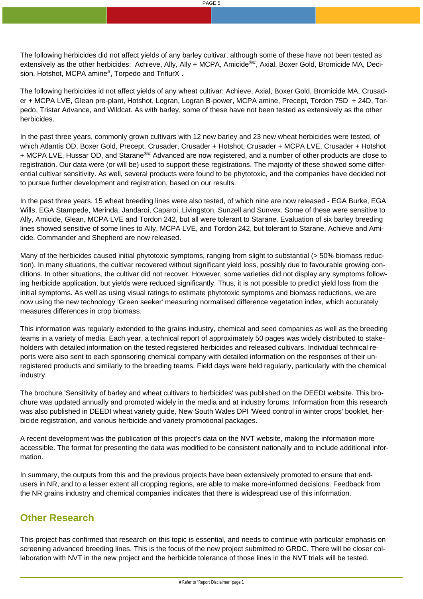The following herbicides did not affect yields of any barley cultivar, although some of these have not been tested as extensively as the other herbicides: Achieve, Ally, Ally + MCPA, Amicide<sup>®#</sup>, Axial, Boxer Gold, Bromicide MA, Decision, Hotshot, MCPA amine#, Torpedo and TriflurX.

The following herbicides id not affect yields of any wheat cultivar: Achieve, Axial, Boxer Gold, Bromicide MA, Crusader + MCPA LVE, Glean pre-plant, Hotshot, Logran, Logran B-power, MCPA amine, Precept, Tordon 75D + 24D, Torpedo, Tristar Advance, and Wildcat. As with barley, some of these have not been tested as extensively as the other herbicides.

In the past three years, commonly grown cultivars with 12 new barley and 23 new wheat herbicides were tested, of which Atlantis OD, Boxer Gold, Precept, Crusader, Crusader + Hotshot, Crusader + MCPA LVE, Crusader + Hotshot + MCPA LVE, Hussar OD, and Starane®# Advanced are now registered, and a number of other products are close to registration. Our data were (or will be) used to support these registrations. The majority of these showed some differential cultivar sensitivity. As well, several products were found to be phytotoxic, and the companies have decided not to pursue further development and registration, based on our results.

In the past three years, 15 wheat breeding lines were also tested, of which nine are now released - EGA Burke, EGA Wills, EGA Stampede, Merinda, Jandaroi, Caparoi, Livingston, Sunzell and Sunvex. Some of these were sensitive to Ally, Amicide, Glean, MCPA LVE and Tordon 242, but all were tolerant to Starane. Evaluation of six barley breeding lines showed sensitive of some lines to Ally, MCPA LVE, and Tordon 242, but tolerant to Starane, Achieve and Amicide. Commander and Shepherd are now released.

Many of the herbicides caused initial phytotoxic symptoms, ranging from slight to substantial (> 50% biomass reduction). In many situations, the cultivar recovered without significant yield loss, possibly due to favourable growing conditions. In other situations, the cultivar did not recover. However, some varieties did not display any symptoms following herbicide application, but yields were reduced significantly. Thus, it is not possible to predict yield loss from the initial symptoms. As well as using visual ratings to estimate phytotoxic symptoms and biomass reductions, we are now using the new technology 'Green seeker' measuring normalised difference vegetation index, which accurately measures differences in crop biomass.

This information was regularly extended to the grains industry, chemical and seed companies as well as the breeding teams in a variety of media. Each year, a technical report of approximately 50 pages was widely distributed to stakeholders with detailed information on the tested registered herbicides and released cultivars. Individual technical reports were also sent to each sponsoring chemical company with detailed information on the responses of their unregistered products and similarly to the breeding teams. Field days were held regularly, particularly with the chemical industry.

The brochure 'Sensitivity of barley and wheat cultivars to herbicides' was published on the DEEDI website. This brochure was updated annually and promoted widely in the media and at industry forums. Information from this research was also published in DEEDI wheat variety guide, New South Wales DPI 'Weed control in winter crops' booklet, herbicide registration, and various herbicide and variety promotional packages.

A recent development was the publication of this project's data on the NVT website, making the information more accessible. The format for presenting the data was modified to be consistent nationally and to include additional information.

In summary, the outputs from this and the previous projects have been extensively promoted to ensure that endusers in NR, and to a lesser extent all cropping regions, are able to make more-informed decisions. Feedback from the NR grains industry and chemical companies indicates that there is widespread use of this information.

## **Other Research**

This project has confirmed that research on this topic is essential, and needs to continue with particular emphasis on screening advanced breeding lines. This is the focus of the new project submitted to GRDC. There will be closer collaboration with NVT in the new project and the herbicide tolerance of those lines in the NVT trials will be tested.